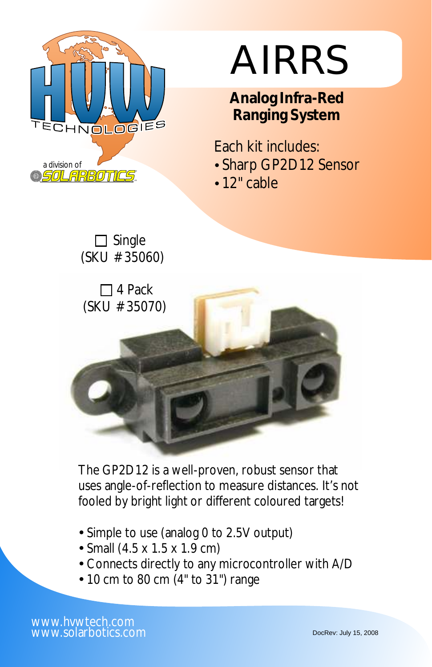

# AIRRS

**Analog Infra-Red Ranging System**

Each kit includes:

- Sharp GP2D12 Sensor
- 12" cable

 $\Box$  Single (SKU #35060)

 $\Box$  4 Pack



The GP2D12 is a well-proven, robust sensor that uses angle-of-reflection to measure distances. It's not fooled by bright light or different coloured targets!

- Simple to use (analog 0 to 2.5V output)<br>• Small (4.5 x 1.5 x 1.9 cm)
- 
- Small (4.5 x 1.5 x 1.9 cm)<br>• Connects directly to any i ?Connects directly to any microcontroller with A/D
- 10 cm to 80 cm (4" to 31") range

www.hvwtech.com www.solarbotics.com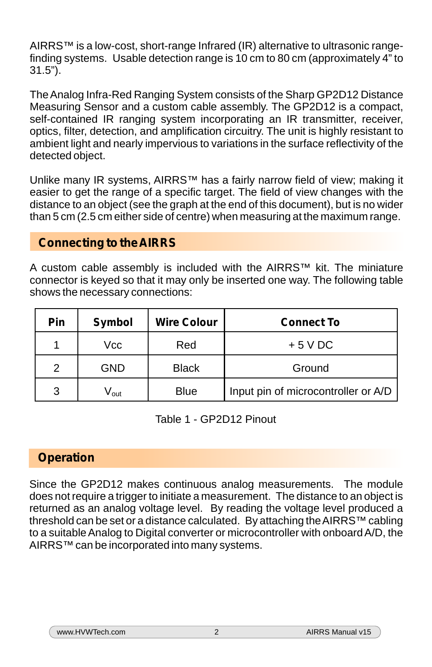AIRRS™ is a low-cost, short-range Infrared (IR) alternative to ultrasonic rangefinding systems. Usable detection range is 10 cm to 80 cm (approximately 4" to 31.5").

The Analog Infra-Red Ranging System consists of the Sharp GP2D12 Distance Measuring Sensor and a custom cable assembly. The GP2D12 is a compact, self-contained IR ranging system incorporating an IR transmitter, receiver, optics, filter, detection, and amplification circuitry. The unit is highly resistant to ambient light and nearly impervious to variations in the surface reflectivity of the detected object.

Unlike many IR systems, AIRRS™ has a fairly narrow field of view; making it easier to get the range of a specific target. The field of view changes with the distance to an object (see the graph at the end of this document), but is no wider than 5 cm (2.5 cm either side of centre) when measuring at the maximum range.

# **Connecting to the AIRRS**

A custom cable assembly is included with the AIRRS™ kit. The miniature connector is keyed so that it may only be inserted one way. The following table shows the necessary connections:

| Pin | Symbol                      | <b>Wire Colour</b> | <b>Connect To</b>                   |
|-----|-----------------------------|--------------------|-------------------------------------|
|     | Vcc                         | Red                | $+5$ V DC                           |
| 2   | <b>GND</b>                  | <b>Black</b>       | Ground                              |
| 3   | $\mathsf{V}_{\mathsf{out}}$ | <b>Blue</b>        | Input pin of microcontroller or A/D |

Table 1 - GP2D12 Pinout

# **Operation**

Since the GP2D12 makes continuous analog measurements. The module does not require a trigger to initiate a measurement. The distance to an object is returned as an analog voltage level. By reading the voltage level produced a threshold can be set or a distance calculated. By attaching the AIRRS™ cabling to a suitable Analog to Digital converter or microcontroller with onboard A/D, the AIRRS™ can be incorporated into many systems.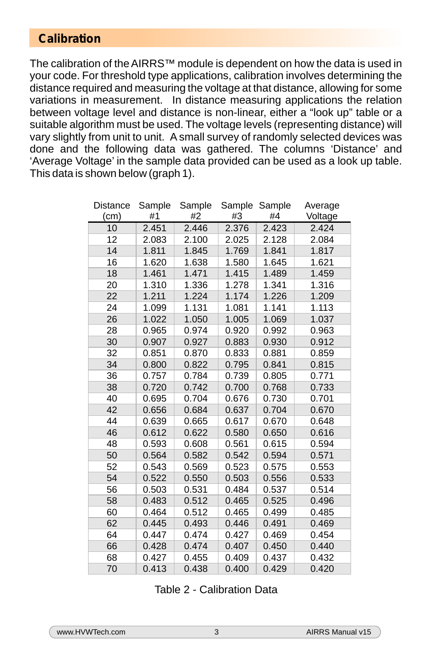The calibration of the AIRRS™ module is dependent on how the data is used in your code. For threshold type applications, calibration involves determining the distance required and measuring the voltage at that distance, allowing for some variations in measurement. In distance measuring applications the relation between voltage level and distance is non-linear, either a "look up" table or a suitable algorithm must be used. The voltage levels (representing distance) will vary slightly from unit to unit. Asmall survey of randomly selected devices was done and the following data was gathered. The columns 'Distance' and 'Average Voltage' in the sample data provided can be used as a look up table. This data is shown below (graph 1).

| Distance | Sample | Sample | Sample | Sample | Average |
|----------|--------|--------|--------|--------|---------|
| (cm)     | #1     | #2     | #3     | #4     | Voltage |
| 10       | 2.451  | 2.446  | 2.376  | 2.423  | 2.424   |
| 12       | 2.083  | 2.100  | 2.025  | 2.128  | 2.084   |
| 14       | 1.811  | 1.845  | 1.769  | 1.841  | 1.817   |
| 16       | 1.620  | 1.638  | 1.580  | 1.645  | 1.621   |
| 18       | 1.461  | 1.471  | 1.415  | 1.489  | 1.459   |
| 20       | 1.310  | 1.336  | 1.278  | 1.341  | 1.316   |
| 22       | 1.211  | 1.224  | 1.174  | 1.226  | 1.209   |
| 24       | 1.099  | 1.131  | 1.081  | 1.141  | 1.113   |
| 26       | 1.022  | 1.050  | 1.005  | 1.069  | 1.037   |
| 28       | 0.965  | 0.974  | 0.920  | 0.992  | 0.963   |
| 30       | 0.907  | 0.927  | 0.883  | 0.930  | 0.912   |
| 32       | 0.851  | 0.870  | 0.833  | 0.881  | 0.859   |
| 34       | 0.800  | 0.822  | 0.795  | 0.841  | 0.815   |
| 36       | 0.757  | 0.784  | 0.739  | 0.805  | 0.771   |
| 38       | 0.720  | 0.742  | 0.700  | 0.768  | 0.733   |
| 40       | 0.695  | 0.704  | 0.676  | 0.730  | 0.701   |
| 42       | 0.656  | 0.684  | 0.637  | 0.704  | 0.670   |
| 44       | 0.639  | 0.665  | 0.617  | 0.670  | 0.648   |
| 46       | 0.612  | 0.622  | 0.580  | 0.650  | 0.616   |
| 48       | 0.593  | 0.608  | 0.561  | 0.615  | 0.594   |
| 50       | 0.564  | 0.582  | 0.542  | 0.594  | 0.571   |
| 52       | 0.543  | 0.569  | 0.523  | 0.575  | 0.553   |
| 54       | 0.522  | 0.550  | 0.503  | 0.556  | 0.533   |
| 56       | 0.503  | 0.531  | 0.484  | 0.537  | 0.514   |
| 58       | 0.483  | 0.512  | 0.465  | 0.525  | 0.496   |
| 60       | 0.464  | 0.512  | 0.465  | 0.499  | 0.485   |
| 62       | 0.445  | 0.493  | 0.446  | 0.491  | 0.469   |
| 64       | 0.447  | 0.474  | 0.427  | 0.469  | 0.454   |
| 66       | 0.428  | 0.474  | 0.407  | 0.450  | 0.440   |
| 68       | 0.427  | 0.455  | 0.409  | 0.437  | 0.432   |
| 70       | 0.413  | 0.438  | 0.400  | 0.429  | 0.420   |

#### Table 2 - Calibration Data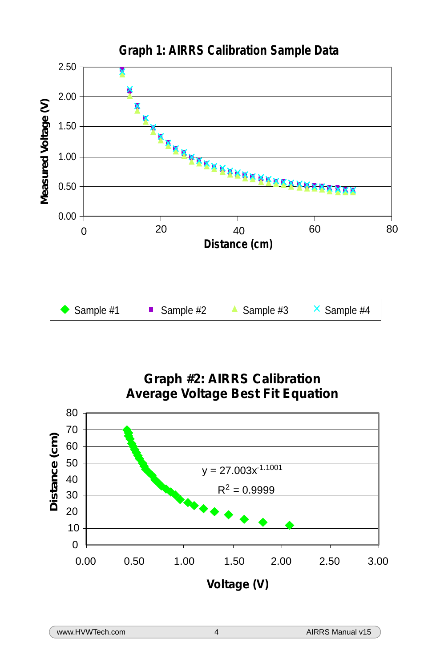

**Graph #2: AIRRS Calibration Average Voltage Best Fit Equation**

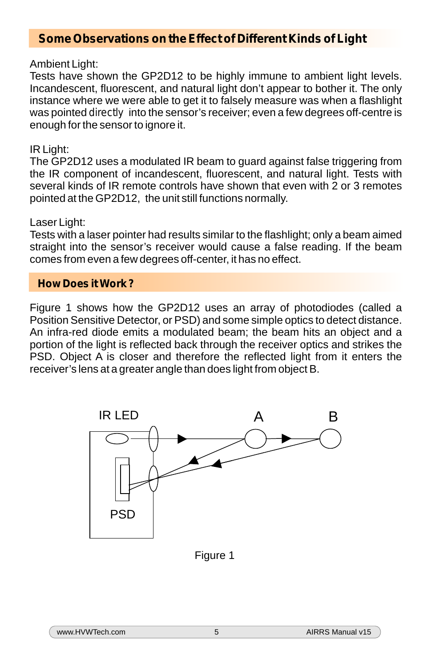# **Some Observations on the Effect of Different Kinds of Light**

#### Ambient Light:

Tests have shown the GP2D12 to be highly immune to ambient light levels. Incandescent, fluorescent, and natural light don't appear to bother it. The only instance where we were able to get it to falsely measure was when a flashlight was pointed *directly* into the sensor's receiver; even a few degrees off-centre is enough for the sensor to ignore it.

#### IR Light:

The GP2D12 uses a modulated IR beam to guard against false triggering from the IR component of incandescent, fluorescent, and natural light. Tests with several kinds of IR remote controls have shown that even with 2 or 3 remotes pointed at the GP2D12, the unit still functions normally.

#### Laser Light:

Tests with a laser pointer had results similar to the flashlight; only a beam aimed straight into the sensor's receiver would cause a false reading. If the beam comes from even a few degrees off-center, it has no effect.

#### **How Does it Work ?**

Figure 1 shows how the GP2D12 uses an array of photodiodes (called a Position Sensitive Detector, or PSD) and some simple optics to detect distance. An infra-red diode emits a modulated beam; the beam hits an object and a portion of the light is reflected back through the receiver optics and strikes the PSD. Object A is closer and therefore the reflected light from it enters the receiver's lens at a greater angle than does light from object B.



Figure 1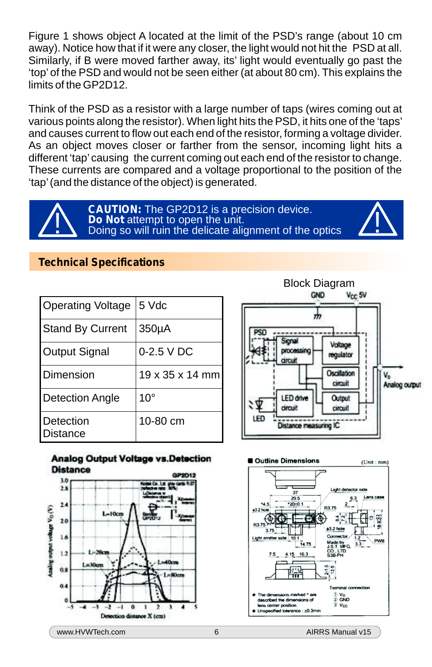Figure 1 shows object A located at the limit of the PSD's range (about 10 cm away). Notice how that if it were any closer, the light would not hit the PSD at all. Similarly, if B were moved farther away, its' light would eventually go past the 'top'of the PSD and would not be seen either (at about 80 cm). This explains the limits of the GP2D12.

Think of the PSD as a resistor with a large number of taps (wires coming out at various points along the resistor). When light hits the PSD, it hits one of the 'taps' and causes current to flow out each end of the resistor, forming a voltage divider. As an object moves closer or farther from the sensor, incoming light hits a different 'tap' causing the current coming out each end of the resistor to change. These currents are compared and a voltage proportional to the position of the 'tap'(and the distance of the object) is generated.



**CAUTION:** The GP2D12 is a precision device.<br>**Do Not** attempt to open the unit. Doing so will ruin the delicate alignment of the optics

## **Technical Specifications**

| <b>Operating Voltage</b> | 5 Vdc              |
|--------------------------|--------------------|
| <b>Stand By Current</b>  | 350 <sub>µ</sub> A |
| <b>Output Signal</b>     | $0-2.5$ V DC       |
| Dimension                | 19 x 35 x 14 mm    |
| <b>Detection Angle</b>   | $10^{\circ}$       |
| Detection<br>Distance    | 10-80 cm           |









www.HVWTech.com 6 6 AIRRS Manual v15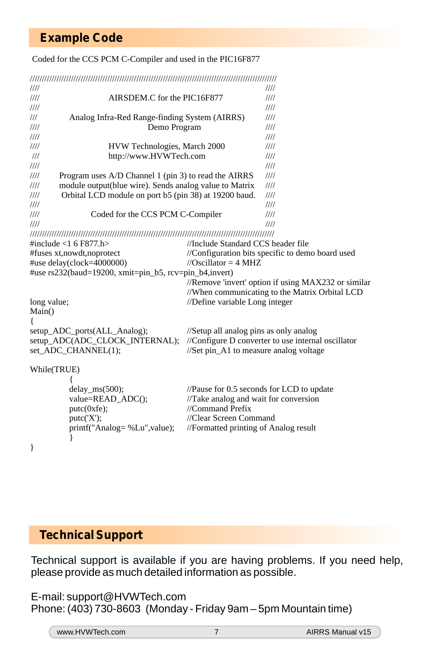# **Example Code**

#### Coded for the CCS PCM C-Compiler and used in the PIC16F877

| 1111                                                                     |                                                           | 1111                                                |  |
|--------------------------------------------------------------------------|-----------------------------------------------------------|-----------------------------------------------------|--|
| 1111<br>AIRSDEM.C for the PIC16F877                                      | 1111                                                      |                                                     |  |
| 1111                                                                     | ////                                                      |                                                     |  |
| $^{\prime\prime\prime}$<br>Analog Infra-Red Range-finding System (AIRRS) | 1111                                                      |                                                     |  |
| 1111                                                                     | Demo Program                                              |                                                     |  |
| 1111                                                                     |                                                           | 1111                                                |  |
| 1111<br>HVW Technologies, March 2000                                     | 1111                                                      |                                                     |  |
| http://www.HVWTech.com<br>$^{\prime\prime\prime}$                        | 1111                                                      |                                                     |  |
| $\frac{1}{1}$                                                            |                                                           | 1111                                                |  |
| Program uses A/D Channel 1 (pin 3) to read the AIRRS<br>1111             | 1111                                                      |                                                     |  |
| module output(blue wire). Sends analog value to Matrix<br>1111           | 1111                                                      |                                                     |  |
| Orbital LCD module on port b5 (pin 38) at 19200 baud.<br>1111            |                                                           | 1111                                                |  |
| 1111                                                                     |                                                           | 1111                                                |  |
| 1111<br>Coded for the CCS PCM C-Compiler                                 |                                                           | 1111                                                |  |
| 1111                                                                     |                                                           | 1111                                                |  |
|                                                                          |                                                           |                                                     |  |
| #include $<$ 1 6 F877.h>                                                 | //Include Standard CCS header file                        |                                                     |  |
| #fuses xt, nowdt, no protect                                             | //Configuration bits specific to demo board used          |                                                     |  |
| #use delay(clock=4000000)                                                | //Oscillator = $4 \text{ MHz}$                            |                                                     |  |
| #use rs232(baud=19200, xmit=pin_b5, rcv=pin_b4, invert)                  |                                                           |                                                     |  |
|                                                                          |                                                           | //Remove 'invert' option if using MAX232 or similar |  |
|                                                                          |                                                           | //When communicating to the Matrix Orbital LCD      |  |
| long value;                                                              | //Define variable Long integer                            |                                                     |  |
| Main()                                                                   |                                                           |                                                     |  |
| ł                                                                        |                                                           |                                                     |  |
| setup_ADC_ports(ALL_Analog);                                             | //Setup all analog pins as only analog                    |                                                     |  |
| setup_ADC(ADC_CLOCK_INTERNAL);                                           |                                                           | //Configure D converter to use internal oscillator  |  |
| set_ADC_CHANNEL(1);                                                      | $\frac{1}{\sqrt{2}}$ Set pin_A1 to measure analog voltage |                                                     |  |
|                                                                          |                                                           |                                                     |  |
| While(TRUE)                                                              |                                                           |                                                     |  |
|                                                                          |                                                           |                                                     |  |
| $delay_{ms}(500);$                                                       |                                                           | //Pause for $0.5$ seconds for LCD to update         |  |
| value=READ_ADC();<br>putc(0xfe);                                         | //Take analog and wait for conversion<br>//Command Prefix |                                                     |  |
| putc('X');                                                               | //Clear Screen Command                                    |                                                     |  |
| printf("Analog= %Lu", value);                                            | //Formatted printing of Analog result                     |                                                     |  |
|                                                                          |                                                           |                                                     |  |
| ι                                                                        |                                                           |                                                     |  |

}

## **Technical Support**

Technical support is available if you are having problems. If you need help, please provide as much detailed information as possible.

Phone: (403) 730-8603 (Monday - Friday 9am – 5pm Mountain time) E-mail: support@HVWTech.com

```
www.HVWTech.com 7 AIRRS Manual v15
```